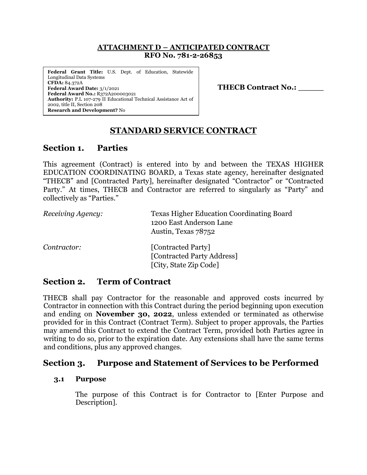### **ATTACHMENT D – ANTICIPATED CONTRACT RFO No. 781-2-26853**

**Federal Grant Title:** U.S. Dept. of Education, Statewide Longitudinal Data Systems **CFDA:** 84.372A **Federal Award Date:** 3/1/2021 **Federal Award No.:** R372A200003021 **Authority:** P.L 107-279 II Educational Technical Assistance Act of 2002, title II, Section 208 **Research and Development?** No

**THECB Contract No.: \_\_\_\_\_**

# **STANDARD SERVICE CONTRACT**

# **Section 1. Parties**

This agreement (Contract) is entered into by and between the TEXAS HIGHER EDUCATION COORDINATING BOARD, a Texas state agency, hereinafter designated "THECB" and [Contracted Party], hereinafter designated "Contractor" or "Contracted Party." At times, THECB and Contractor are referred to singularly as "Party" and collectively as "Parties."

| Receiving Agency: | <b>Texas Higher Education Coordinating Board</b><br>1200 East Anderson Lane<br>Austin, Texas 78752 |
|-------------------|----------------------------------------------------------------------------------------------------|
| Contractor:       | [Contracted Party]<br>[Contracted Party Address]<br>[City, State Zip Code]                         |

# **Section 2. Term of Contract**

THECB shall pay Contractor for the reasonable and approved costs incurred by Contractor in connection with this Contract during the period beginning upon execution and ending on **November 30, 2022**, unless extended or terminated as otherwise provided for in this Contract (Contract Term). Subject to proper approvals, the Parties may amend this Contract to extend the Contract Term, provided both Parties agree in writing to do so, prior to the expiration date. Any extensions shall have the same terms and conditions, plus any approved changes.

# **Section 3. Purpose and Statement of Services to be Performed**

## **3.1 Purpose**

The purpose of this Contract is for Contractor to [Enter Purpose and Description].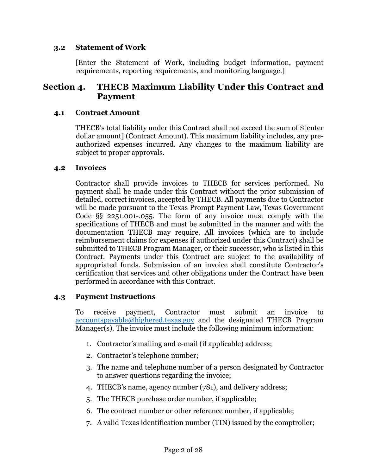### **3.2 Statement of Work**

[Enter the Statement of Work, including budget information, payment requirements, reporting requirements, and monitoring language.]

## **Section 4. THECB Maximum Liability Under this Contract and Payment**

### **4.1 Contract Amount**

THECB's total liability under this Contract shall not exceed the sum of \$[enter dollar amount] (Contract Amount). This maximum liability includes, any preauthorized expenses incurred. Any changes to the maximum liability are subject to proper approvals.

### **4.2 Invoices**

Contractor shall provide invoices to THECB for services performed. No payment shall be made under this Contract without the prior submission of detailed, correct invoices, accepted by THECB. All payments due to Contractor will be made pursuant to the Texas Prompt Payment Law, Texas Government Code §§ 2251.001-.055. The form of any invoice must comply with the specifications of THECB and must be submitted in the manner and with the documentation THECB may require. All invoices (which are to include reimbursement claims for expenses if authorized under this Contract) shall be submitted to THECB Program Manager, or their successor, who is listed in this Contract. Payments under this Contract are subject to the availability of appropriated funds. Submission of an invoice shall constitute Contractor's certification that services and other obligations under the Contract have been performed in accordance with this Contract.

## **4.3 Payment Instructions**

To receive payment, Contractor must submit an invoice to [accountspayable@highered.texas.gov](mailto:accountspayable@highered.texas.gov) and the designated THECB Program Manager(s). The invoice must include the following minimum information:

- 1. Contractor's mailing and e-mail (if applicable) address;
- 2. Contractor's telephone number;
- 3. The name and telephone number of a person designated by Contractor to answer questions regarding the invoice;
- 4. THECB's name, agency number (781), and delivery address;
- 5. The THECB purchase order number, if applicable;
- 6. The contract number or other reference number, if applicable;
- 7. A valid Texas identification number (TIN) issued by the comptroller;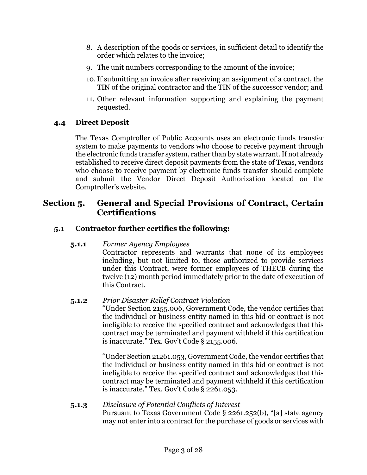- 8. A description of the goods or services, in sufficient detail to identify the order which relates to the invoice;
- 9. The unit numbers corresponding to the amount of the invoice;
- 10.If submitting an invoice after receiving an assignment of a contract, the TIN of the original contractor and the TIN of the successor vendor; and
- 11. Other relevant information supporting and explaining the payment requested.

## **4.4 Direct Deposit**

The Texas Comptroller of Public Accounts uses an electronic funds transfer system to make payments to vendors who choose to receive payment through the electronic funds transfer system, rather than by state warrant. If not already established to receive direct deposit payments from the state of Texas, vendors who choose to receive payment by electronic funds transfer should complete and submit the Vendor Direct Deposit Authorization located on the Comptroller's website.

## **Section 5. General and Special Provisions of Contract, Certain Certifications**

## **5.1 Contractor further certifies the following:**

## **5.1.1** *Former Agency Employees*

Contractor represents and warrants that none of its employees including, but not limited to, those authorized to provide services under this Contract, were former employees of THECB during the twelve (12) month period immediately prior to the date of execution of this Contract.

## **5.1.2** *Prior Disaster Relief Contract Violation*

"Under Section 2155.006, Government Code, the vendor certifies that the individual or business entity named in this bid or contract is not ineligible to receive the specified contract and acknowledges that this contract may be terminated and payment withheld if this certification is inaccurate." Tex. Gov't Code § 2155.006.

"Under Section 21261.053, Government Code, the vendor certifies that the individual or business entity named in this bid or contract is not ineligible to receive the specified contract and acknowledges that this contract may be terminated and payment withheld if this certification is inaccurate." Tex. Gov't Code § 2261.053.

#### **5.1.3** *Disclosure of Potential Conflicts of Interest* Pursuant to Texas Government Code § 2261.252(b), "[a] state agency may not enter into a contract for the purchase of goods or services with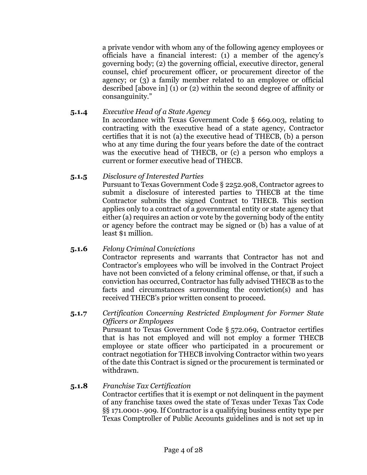a private vendor with whom any of the following agency employees or officials have a financial interest: (1) a member of the agency's governing body; (2) the governing official, executive director, general counsel, chief procurement officer, or procurement director of the agency; or (3) a family member related to an employee or official described [above in] (1) or (2) within the second degree of affinity or consanguinity."

- **5.1.4** *Executive Head of a State Agency* In accordance with Texas Government Code § 669.003, relating to contracting with the executive head of a state agency, Contractor certifies that it is not (a) the executive head of THECB, (b) a person who at any time during the four years before the date of the contract was the executive head of THECB, or (c) a person who employs a current or former executive head of THECB.
- **5.1.5** *Disclosure of Interested Parties*

Pursuant to Texas Government Code § 2252.908, Contractor agrees to submit a disclosure of interested parties to THECB at the time Contractor submits the signed Contract to THECB. This section applies only to a contract of a governmental entity or state agency that either (a) requires an action or vote by the governing body of the entity or agency before the contract may be signed or (b) has a value of at least \$1 million.

## **5.1.6** *Felony Criminal Convictions*

Contractor represents and warrants that Contractor has not and Contractor's employees who will be involved in the Contract Project have not been convicted of a felony criminal offense, or that, if such a conviction has occurred, Contractor has fully advised THECB as to the facts and circumstances surrounding the conviction(s) and has received THECB's prior written consent to proceed.

## **5.1.7** *Certification Concerning Restricted Employment for Former State Officers or Employees*

Pursuant to Texas Government Code § 572.069, Contractor certifies that is has not employed and will not employ a former THECB employee or state officer who participated in a procurement or contract negotiation for THECB involving Contractor within two years of the date this Contract is signed or the procurement is terminated or withdrawn.

## **5.1.8** *Franchise Tax Certification*

Contractor certifies that it is exempt or not delinquent in the payment of any franchise taxes owed the state of Texas under Texas Tax Code §§ 171.0001-.909. If Contractor is a qualifying business entity type per Texas Comptroller of Public Accounts guidelines and is not set up in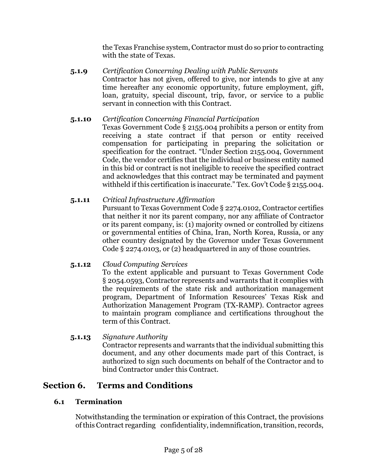the Texas Franchise system, Contractor must do so prior to contracting with the state of Texas.

**5.1.9** *Certification Concerning Dealing with Public Servants* Contractor has not given, offered to give, nor intends to give at any time hereafter any economic opportunity, future employment, gift, loan, gratuity, special discount, trip, favor, or service to a public servant in connection with this Contract.

## **5.1.10** *Certification Concerning Financial Participation*

Texas Government Code § 2155.004 prohibits a person or entity from receiving a state contract if that person or entity received compensation for participating in preparing the solicitation or specification for the contract. "Under Section 2155.004, Government Code, the vendor certifies that the individual or business entity named in this bid or contract is not ineligible to receive the specified contract and acknowledges that this contract may be terminated and payment withheld if this certification is inaccurate." Tex. Gov't Code § 2155.004.

## **5.1.11** *Critical Infrastructure Affirmation*

Pursuant to Texas Government Code § 2274.0102, Contractor certifies that neither it nor its parent company, nor any affiliate of Contractor or its parent company, is: (1) majority owned or controlled by citizens or governmental entities of China, Iran, North Korea, Russia, or any other country designated by the Governor under Texas Government Code § 2274.0103, or (2) headquartered in any of those countries.

## **5.1.12** *Cloud Computing Services*

To the extent applicable and pursuant to Texas Government Code § 2054.0593, Contractor represents and warrants that it complies with the requirements of the state risk and authorization management program, Department of Information Resources' Texas Risk and Authorization Management Program (TX-RAMP). Contractor agrees to maintain program compliance and certifications throughout the term of this Contract.

## **5.1.13** *Signature Authority*

Contractor represents and warrants that the individual submitting this document, and any other documents made part of this Contract, is authorized to sign such documents on behalf of the Contractor and to bind Contractor under this Contract.

# **Section 6. Terms and Conditions**

## **6.1 Termination**

Notwithstanding the termination or expiration of this Contract, the provisions ofthis Contract regarding confidentiality, indemnification,transition, records,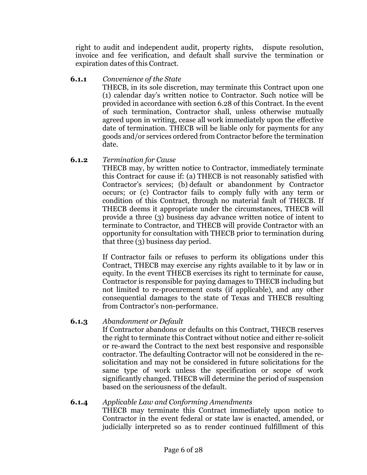right to audit and independent audit, property rights, dispute resolution, invoice and fee verification, and default shall survive the termination or expiration dates of this Contract.

**6.1.1** *Convenience of the State*

THECB, in its sole discretion, may terminate this Contract upon one (1) calendar day's written notice to Contractor. Such notice will be provided in accordance with section 6.28 of this Contract. In the event of such termination, Contractor shall, unless otherwise mutually agreed upon in writing, cease all work immediately upon the effective date of termination. THECB will be liable only for payments for any goods and/or services ordered from Contractor before the termination date.

**6.1.2** *Termination for Cause*

THECB may, by written notice to Contractor, immediately terminate this Contract for cause if: (a) THECB is not reasonably satisfied with Contractor's services; (b) default or abandonment by Contractor occurs; or (c) Contractor fails to comply fully with any term or condition of this Contract, through no material fault of THECB. If THECB deems it appropriate under the circumstances, THECB will provide a three (3) business day advance written notice of intent to terminate to Contractor, and THECB will provide Contractor with an opportunity for consultation with THECB prior to termination during that three (3) business day period.

If Contractor fails or refuses to perform its obligations under this Contract, THECB may exercise any rights available to it by law or in equity. In the event THECB exercises its right to terminate for cause, Contractor is responsible for paying damages to THECB including but not limited to re-procurement costs (if applicable), and any other consequential damages to the state of Texas and THECB resulting from Contractor's non-performance.

**6.1.3** *Abandonment or Default*

If Contractor abandons or defaults on this Contract, THECB reserves the right to terminate this Contract without notice and either re-solicit or re-award the Contract to the next best responsive and responsible contractor. The defaulting Contractor will not be considered in the resolicitation and may not be considered in future solicitations for the same type of work unless the specification or scope of work significantly changed. THECB will determine the period of suspension based on the seriousness of the default.

**6.1.4** *Applicable Law and Conforming Amendments* THECB may terminate this Contract immediately upon notice to Contractor in the event federal or state law is enacted, amended, or judicially interpreted so as to render continued fulfillment of this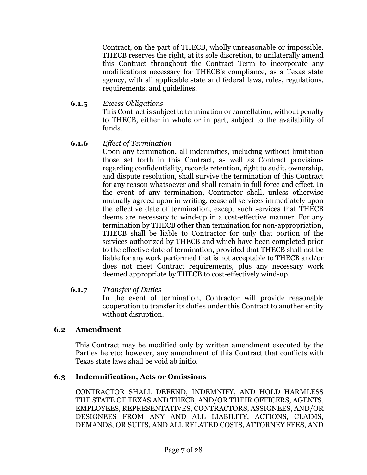Contract, on the part of THECB, wholly unreasonable or impossible. THECB reserves the right, at its sole discretion, to unilaterally amend this Contract throughout the Contract Term to incorporate any modifications necessary for THECB's compliance, as a Texas state agency, with all applicable state and federal laws, rules, regulations, requirements, and guidelines.

**6.1.5** *Excess Obligations*

This Contract is subject to termination or cancellation, without penalty to THECB, either in whole or in part, subject to the availability of funds.

## **6.1.6** *Effect of Termination*

Upon any termination, all indemnities, including without limitation those set forth in this Contract, as well as Contract provisions regarding confidentiality, records retention, right to audit, ownership, and dispute resolution, shall survive the termination of this Contract for any reason whatsoever and shall remain in full force and effect. In the event of any termination, Contractor shall, unless otherwise mutually agreed upon in writing, cease all services immediately upon the effective date of termination, except such services that THECB deems are necessary to wind-up in a cost-effective manner. For any termination by THECB other than termination for non-appropriation, THECB shall be liable to Contractor for only that portion of the services authorized by THECB and which have been completed prior to the effective date of termination, provided that THECB shall not be liable for any work performed that is not acceptable to THECB and/or does not meet Contract requirements, plus any necessary work deemed appropriate by THECB to cost-effectively wind-up.

### **6.1.7** *Transfer of Duties*

In the event of termination, Contractor will provide reasonable cooperation to transfer its duties under this Contract to another entity without disruption.

## **6.2 Amendment**

This Contract may be modified only by written amendment executed by the Parties hereto; however, any amendment of this Contract that conflicts with Texas state laws shall be void ab initio.

## **6.3 Indemnification, Acts or Omissions**

CONTRACTOR SHALL DEFEND, INDEMNIFY, AND HOLD HARMLESS THE STATE OF TEXAS AND THECB, AND/OR THEIR OFFICERS, AGENTS, EMPLOYEES, REPRESENTATIVES, CONTRACTORS, ASSIGNEES, AND/OR DESIGNEES FROM ANY AND ALL LIABILITY, ACTIONS, CLAIMS, DEMANDS, OR SUITS, AND ALL RELATED COSTS, ATTORNEY FEES, AND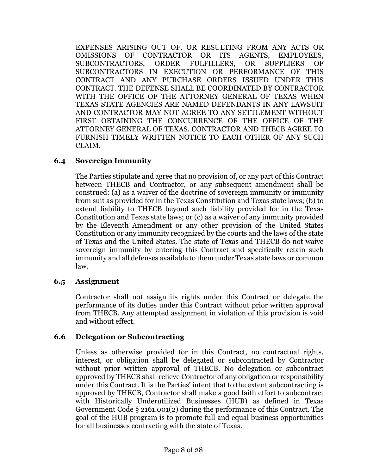EXPENSES ARISING OUT OF, OR RESULTING FROM ANY ACTS OR OMISSIONS OF CONTRACTOR OR ITS AGENTS, EMPLOYEES, SUBCONTRACTORS, ORDER FULFILLERS, OR SUPPLIERS OF SUBCONTRACTORS IN EXECUTION OR PERFORMANCE OF THIS CONTRACT AND ANY PURCHASE ORDERS ISSUED UNDER THIS CONTRACT. THE DEFENSE SHALL BE COORDINATED BY CONTRACTOR WITH THE OFFICE OF THE ATTORNEY GENERAL OF TEXAS WHEN TEXAS STATE AGENCIES ARE NAMED DEFENDANTS IN ANY LAWSUIT AND CONTRACTOR MAY NOT AGREE TO ANY SETTLEMENT WITHOUT FIRST OBTAINING THE CONCURRENCE OF THE OFFICE OF THE ATTORNEY GENERAL OF TEXAS. CONTRACTOR AND THECB AGREE TO FURNISH TIMELY WRITTEN NOTICE TO EACH OTHER OF ANY SUCH CLAIM.

### **6.4 Sovereign Immunity**

The Parties stipulate and agree that no provision of, or any part of this Contract between THECB and Contractor, or any subsequent amendment shall be construed: (a) as a waiver of the doctrine of sovereign immunity or immunity from suit as provided for in the Texas Constitution and Texas state laws; (b) to extend liability to THECB beyond such liability provided for in the Texas Constitution and Texas state laws; or (c) as a waiver of any immunity provided by the Eleventh Amendment or any other provision of the United States Constitution or any immunity recognized by the courts and the laws of the state of Texas and the United States. The state of Texas and THECB do not waive sovereign immunity by entering this Contract and specifically retain such immunity and all defenses available to them under Texas state laws or common law.

## **6.5 Assignment**

Contractor shall not assign its rights under this Contract or delegate the performance of its duties under this Contract without prior written approval from THECB. Any attempted assignment in violation of this provision is void and without effect.

### **6.6 Delegation or Subcontracting**

Unless as otherwise provided for in this Contract, no contractual rights, interest, or obligation shall be delegated or subcontracted by Contractor without prior written approval of THECB. No delegation or subcontract approved by THECB shall relieve Contractor of any obligation or responsibility under this Contract. It is the Parties' intent that to the extent subcontracting is approved by THECB, Contractor shall make a good faith effort to subcontract with Historically Underutilized Businesses (HUB) as defined in Texas Government Code § 2161.001(2) during the performance of this Contract. The goal of the HUB program is to promote full and equal business opportunities for all businesses contracting with the state of Texas.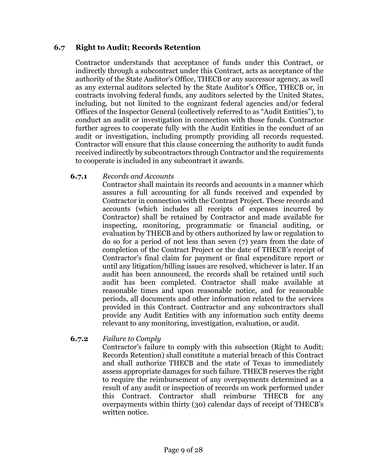### **6.7 Right to Audit; Records Retention**

Contractor understands that acceptance of funds under this Contract, or indirectly through a subcontract under this Contract, acts as acceptance of the authority of the State Auditor's Office, THECB or any successor agency, as well as any external auditors selected by the State Auditor's Office, THECB or, in contracts involving federal funds, any auditors selected by the United States, including, but not limited to the cognizant federal agencies and/or federal Offices of the Inspector General (collectively referred to as "Audit Entities"), to conduct an audit or investigation in connection with those funds. Contractor further agrees to cooperate fully with the Audit Entities in the conduct of an audit or investigation, including promptly providing all records requested. Contractor will ensure that this clause concerning the authority to audit funds received indirectly by subcontractors through Contractor and the requirements to cooperate is included in any subcontract it awards.

### **6.7.1** *Records and Accounts*

Contractor shall maintain its records and accounts in a manner which assures a full accounting for all funds received and expended by Contractor in connection with the Contract Project. These records and accounts (which includes all receipts of expenses incurred by Contractor) shall be retained by Contractor and made available for inspecting, monitoring, programmatic or financial auditing, or evaluation by THECB and by others authorized by law or regulation to do so for a period of not less than seven (7) years from the date of completion of the Contract Project or the date of THECB's receipt of Contractor's final claim for payment or final expenditure report or until any litigation/billing issues are resolved, whichever is later. If an audit has been announced, the records shall be retained until such audit has been completed. Contractor shall make available at reasonable times and upon reasonable notice, and for reasonable periods, all documents and other information related to the services provided in this Contract. Contractor and any subcontractors shall provide any Audit Entities with any information such entity deems relevant to any monitoring, investigation, evaluation, or audit.

## **6.7.2** *Failure to Comply*

Contractor's failure to comply with this subsection (Right to Audit; Records Retention) shall constitute a material breach of this Contract and shall authorize THECB and the state of Texas to immediately assess appropriate damages for such failure. THECB reserves the right to require the reimbursement of any overpayments determined as a result of any audit or inspection of records on work performed under this Contract. Contractor shall reimburse THECB for any overpayments within thirty (30) calendar days of receipt of THECB's written notice.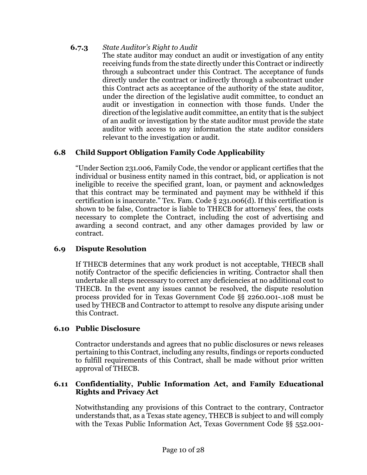## **6.7.3** *State Auditor's Right to Audit*

The state auditor may conduct an audit or investigation of any entity receiving funds from the state directly under this Contract or indirectly through a subcontract under this Contract. The acceptance of funds directly under the contract or indirectly through a subcontract under this Contract acts as acceptance of the authority of the state auditor, under the direction of the legislative audit committee, to conduct an audit or investigation in connection with those funds. Under the direction of the legislative audit committee, an entity that is the subject of an audit or investigation by the state auditor must provide the state auditor with access to any information the state auditor considers relevant to the investigation or audit.

## **6.8 Child Support Obligation Family Code Applicability**

"Under Section 231.006, Family Code, the vendor or applicant certifies that the individual or business entity named in this contract, bid, or application is not ineligible to receive the specified grant, loan, or payment and acknowledges that this contract may be terminated and payment may be withheld if this certification is inaccurate." Tex. Fam. Code § 231.006(d). If this certification is shown to be false, Contractor is liable to THECB for attorneys' fees, the costs necessary to complete the Contract, including the cost of advertising and awarding a second contract, and any other damages provided by law or contract.

## **6.9 Dispute Resolution**

If THECB determines that any work product is not acceptable, THECB shall notify Contractor of the specific deficiencies in writing. Contractor shall then undertake all steps necessary to correct any deficiencies at no additional cost to THECB. In the event any issues cannot be resolved, the dispute resolution process provided for in Texas Government Code §§ 2260.001-.108 must be used by THECB and Contractor to attempt to resolve any dispute arising under this Contract.

## **6.10 Public Disclosure**

Contractor understands and agrees that no public disclosures or news releases pertaining to this Contract, including any results, findings or reports conducted to fulfill requirements of this Contract, shall be made without prior written approval of THECB.

### **6.11 Confidentiality, Public Information Act, and Family Educational Rights and Privacy Act**

Notwithstanding any provisions of this Contract to the contrary, Contractor understands that, as a Texas state agency, THECB is subject to and will comply with the Texas Public Information Act, Texas Government Code §§ 552.001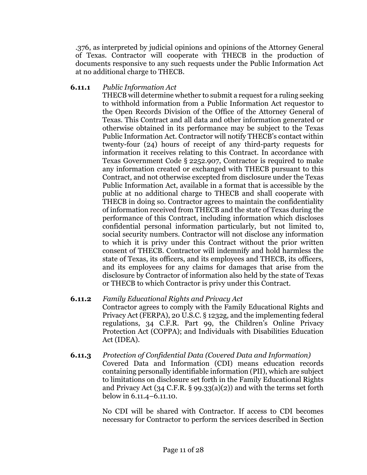.376, as interpreted by judicial opinions and opinions of the Attorney General of Texas. Contractor will cooperate with THECB in the production of documents responsive to any such requests under the Public Information Act at no additional charge to THECB.

### **6.11.1** *Public Information Act*

THECB will determine whether to submit a request for a ruling seeking to withhold information from a Public Information Act requestor to the Open Records Division of the Office of the Attorney General of Texas. This Contract and all data and other information generated or otherwise obtained in its performance may be subject to the Texas Public Information Act. Contractor will notify THECB's contact within twenty-four (24) hours of receipt of any third-party requests for information it receives relating to this Contract. In accordance with Texas Government Code § 2252.907, Contractor is required to make any information created or exchanged with THECB pursuant to this Contract, and not otherwise excepted from disclosure under the Texas Public Information Act, available in a format that is accessible by the public at no additional charge to THECB and shall cooperate with THECB in doing so. Contractor agrees to maintain the confidentiality of information received from THECB and the state of Texas during the performance of this Contract, including information which discloses confidential personal information particularly, but not limited to, social security numbers. Contractor will not disclose any information to which it is privy under this Contract without the prior written consent of THECB. Contractor will indemnify and hold harmless the state of Texas, its officers, and its employees and THECB, its officers, and its employees for any claims for damages that arise from the disclosure by Contractor of information also held by the state of Texas or THECB to which Contractor is privy under this Contract.

## **6.11.2** *Family Educational Rights and Privacy Act* Contractor agrees to comply with the Family Educational Rights and Privacy Act (FERPA), 20 U.S.C. § 1232g, and the implementing federal regulations, 34 C.F.R. Part 99, the Children's Online Privacy

Protection Act (COPPA); and Individuals with Disabilities Education Act (IDEA). **6.11.3** *Protection of Confidential Data (Covered Data and Information)* Covered Data and Information (CDI) means education records

containing personally identifiable information (PII), which are subject to limitations on disclosure set forth in the Family Educational Rights and Privacy Act (34 C.F.R. § 99.33(a)(2)) and with the terms set forth below in 6.11.4–6.11.10.

No CDI will be shared with Contractor. If access to CDI becomes necessary for Contractor to perform the services described in Section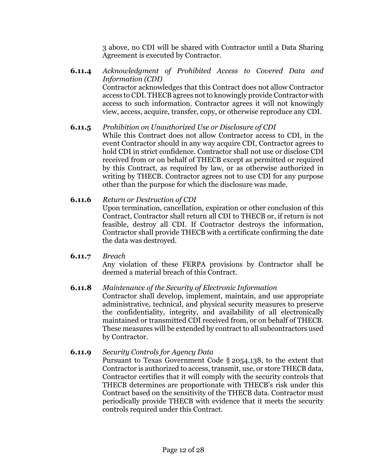3 above, no CDI will be shared with Contractor until a Data Sharing Agreement is executed by Contractor.

**6.11.4** *Acknowledgment of Prohibited Access to Covered Data and Information (CDI)* Contractor acknowledges that this Contract does not allow Contractor access to CDI. THECB agrees not to knowingly provide Contractor with access to such information. Contractor agrees it will not knowingly view, access, acquire, transfer, copy, or otherwise reproduce any CDI.

**6.11.5** *Prohibition on Unauthorized Use or Disclosure of CDI* While this Contract does not allow Contractor access to CDI, in the event Contractor should in any way acquire CDI, Contractor agrees to hold CDI in strict confidence. Contractor shall not use or disclose CDI received from or on behalf of THECB except as permitted or required by this Contract, as required by law, or as otherwise authorized in writing by THECB. Contractor agrees not to use CDI for any purpose other than the purpose for which the disclosure was made.

### **6.11.6** *Return or Destruction of CDI*

Upon termination, cancellation, expiration or other conclusion of this Contract, Contractor shall return all CDI to THECB or, if return is not feasible, destroy all CDI. If Contractor destroys the information, Contractor shall provide THECB with a certificate confirming the date the data was destroyed.

### **6.11.7** *Breach*

Any violation of these FERPA provisions by Contractor shall be deemed a material breach of this Contract.

## **6.11.8** *Maintenance of the Security of Electronic Information*

Contractor shall develop, implement, maintain, and use appropriate administrative, technical, and physical security measures to preserve the confidentiality, integrity, and availability of all electronically maintained or transmitted CDI received from, or on behalf of THECB. These measures will be extended by contract to all subcontractors used by Contractor.

### **6.11.9** *Security Controls for Agency Data*

Pursuant to Texas Government Code § 2054.138, to the extent that Contractor is authorized to access, transmit, use, or store THECB data, Contractor certifies that it will comply with the security controls that THECB determines are proportionate with THECB's risk under this Contract based on the sensitivity of the THECB data. Contractor must periodically provide THECB with evidence that it meets the security controls required under this Contract.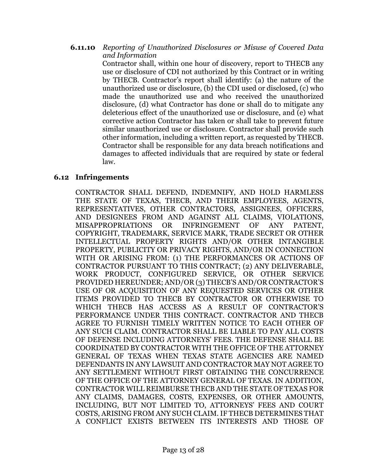**6.11.10** *Reporting of Unauthorized Disclosures or Misuse of Covered Data and Information*

Contractor shall, within one hour of discovery, report to THECB any use or disclosure of CDI not authorized by this Contract or in writing by THECB. Contractor's report shall identify: (a) the nature of the unauthorized use or disclosure, (b) the CDI used or disclosed, (c) who made the unauthorized use and who received the unauthorized disclosure, (d) what Contractor has done or shall do to mitigate any deleterious effect of the unauthorized use or disclosure, and (e) what corrective action Contractor has taken or shall take to prevent future similar unauthorized use or disclosure. Contractor shall provide such other information, including a written report, as requested by THECB. Contractor shall be responsible for any data breach notifications and damages to affected individuals that are required by state or federal law.

### **6.12 Infringements**

CONTRACTOR SHALL DEFEND, INDEMNIFY, AND HOLD HARMLESS THE STATE OF TEXAS, THECB, AND THEIR EMPLOYEES, AGENTS, REPRESENTATIVES, OTHER CONTRACTORS, ASSIGNEES, OFFICERS, AND DESIGNEES FROM AND AGAINST ALL CLAIMS, VIOLATIONS, MISAPPROPRIATIONS OR INFRINGEMENT OF ANY PATENT, COPYRIGHT, TRADEMARK, SERVICE MARK, TRADE SECRET OR OTHER INTELLECTUAL PROPERTY RIGHTS AND/OR OTHER INTANGIBLE PROPERTY, PUBLICITY OR PRIVACY RIGHTS, AND/OR IN CONNECTION WITH OR ARISING FROM: (1) THE PERFORMANCES OR ACTIONS OF CONTRACTOR PURSUANT TO THIS CONTRACT; (2) ANY DELIVERABLE, WORK PRODUCT, CONFIGURED SERVICE, OR OTHER SERVICE PROVIDED HEREUNDER; AND/OR (3) THECB'S AND/OR CONTRACTOR'S USE OF OR ACQUISITION OF ANY REQUESTED SERVICES OR OTHER ITEMS PROVIDED TO THECB BY CONTRACTOR OR OTHERWISE TO WHICH THECB HAS ACCESS AS A RESULT OF CONTRACTOR'S PERFORMANCE UNDER THIS CONTRACT. CONTRACTOR AND THECB AGREE TO FURNISH TIMELY WRITTEN NOTICE TO EACH OTHER OF ANY SUCH CLAIM. CONTRACTOR SHALL BE LIABLE TO PAY ALL COSTS OF DEFENSE INCLUDING ATTORNEYS' FEES. THE DEFENSE SHALL BE COORDINATED BY CONTRACTOR WITH THE OFFICE OF THE ATTORNEY GENERAL OF TEXAS WHEN TEXAS STATE AGENCIES ARE NAMED DEFENDANTS IN ANY LAWSUIT AND CONTRACTOR MAY NOT AGREE TO ANY SETTLEMENT WITHOUT FIRST OBTAINING THE CONCURRENCE OF THE OFFICE OF THE ATTORNEY GENERAL OF TEXAS. IN ADDITION, CONTRACTOR WILL REIMBURSE THECB AND THE STATE OF TEXAS FOR ANY CLAIMS, DAMAGES, COSTS, EXPENSES, OR OTHER AMOUNTS, INCLUDING, BUT NOT LIMITED TO, ATTORNEYS' FEES AND COURT COSTS, ARISING FROM ANY SUCH CLAIM. IF THECB DETERMINES THAT A CONFLICT EXISTS BETWEEN ITS INTERESTS AND THOSE OF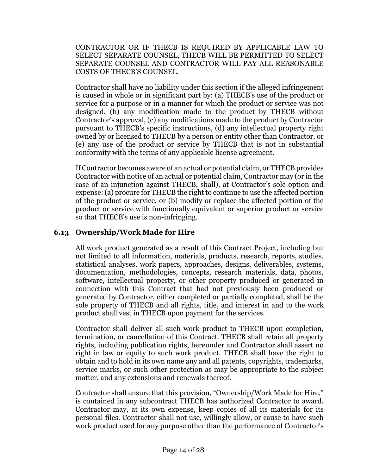CONTRACTOR OR IF THECB IS REQUIRED BY APPLICABLE LAW TO SELECT SEPARATE COUNSEL, THECB WILL BE PERMITTED TO SELECT SEPARATE COUNSEL AND CONTRACTOR WILL PAY ALL REASONABLE COSTS OF THECB'S COUNSEL.

Contractor shall have no liability under this section if the alleged infringement is caused in whole or in significant part by: (a) THECB's use of the product or service for a purpose or in a manner for which the product or service was not designed, (b) any modification made to the product by THECB without Contractor's approval, (c) any modifications made to the product by Contractor pursuant to THECB's specific instructions, (d) any intellectual property right owned by or licensed to THECB by a person or entity other than Contractor, or (e) any use of the product or service by THECB that is not in substantial conformity with the terms of any applicable license agreement.

If Contractor becomes aware of an actual or potential claim, or THECB provides Contractor with notice of an actual or potential claim, Contractor may (or in the case of an injunction against THECB, shall), at Contractor's sole option and expense:(a) procure for THECB the right to continue to use the affected portion of the product or service, or (b) modify or replace the affected portion of the product or service with functionally equivalent or superior product or service so that THECB's use is non-infringing.

## **6.13 Ownership/Work Made for Hire**

All work product generated as a result of this Contract Project, including but not limited to all information, materials, products, research, reports, studies, statistical analyses, work papers, approaches, designs, deliverables, systems, documentation, methodologies, concepts, research materials, data, photos, software, intellectual property, or other property produced or generated in connection with this Contract that had not previously been produced or generated by Contractor, either completed or partially completed, shall be the sole property of THECB and all rights, title, and interest in and to the work product shall vest in THECB upon payment for the services.

Contractor shall deliver all such work product to THECB upon completion, termination, or cancellation of this Contract. THECB shall retain all property rights, including publication rights, hereunder and Contractor shall assert no right in law or equity to such work product. THECB shall have the right to obtain and to hold in its own name any and all patents, copyrights, trademarks, service marks, or such other protection as may be appropriate to the subject matter, and any extensions and renewals thereof.

Contractor shall ensure that this provision, "Ownership/Work Made for Hire," is contained in any subcontract THECB has authorized Contractor to award. Contractor may, at its own expense, keep copies of all its materials for its personal files. Contractor shall not use, willingly allow, or cause to have such work product used for any purpose other than the performance of Contractor's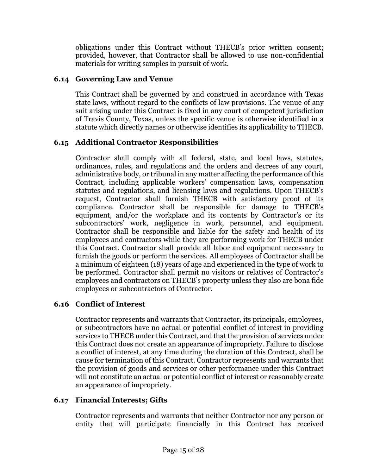obligations under this Contract without THECB's prior written consent; provided, however, that Contractor shall be allowed to use non-confidential materials for writing samples in pursuit of work.

## **6.14 Governing Law and Venue**

This Contract shall be governed by and construed in accordance with Texas state laws, without regard to the conflicts of law provisions. The venue of any suit arising under this Contract is fixed in any court of competent jurisdiction of Travis County, Texas, unless the specific venue is otherwise identified in a statute which directly names or otherwise identifies its applicability to THECB.

## **6.15 Additional Contractor Responsibilities**

Contractor shall comply with all federal, state, and local laws, statutes, ordinances, rules, and regulations and the orders and decrees of any court, administrative body, or tribunal in any matter affecting the performance of this Contract, including applicable workers' compensation laws, compensation statutes and regulations, and licensing laws and regulations. Upon THECB's request, Contractor shall furnish THECB with satisfactory proof of its compliance. Contractor shall be responsible for damage to THECB's equipment, and/or the workplace and its contents by Contractor's or its subcontractors' work, negligence in work, personnel, and equipment. Contractor shall be responsible and liable for the safety and health of its employees and contractors while they are performing work for THECB under this Contract. Contractor shall provide all labor and equipment necessary to furnish the goods or perform the services. All employees of Contractor shall be a minimum of eighteen (18) years of age and experienced in the type of work to be performed. Contractor shall permit no visitors or relatives of Contractor's employees and contractors on THECB's property unless they also are bona fide employees or subcontractors of Contractor.

## **6.16 Conflict of Interest**

Contractor represents and warrants that Contractor, its principals, employees, or subcontractors have no actual or potential conflict of interest in providing services to THECB under this Contract, and that the provision of services under this Contract does not create an appearance of impropriety. Failure to disclose a conflict of interest, at any time during the duration of this Contract, shall be cause for termination of this Contract. Contractor represents and warrants that the provision of goods and services or other performance under this Contract will not constitute an actual or potential conflict of interest or reasonably create an appearance of impropriety.

## **6.17 Financial Interests; Gifts**

Contractor represents and warrants that neither Contractor nor any person or entity that will participate financially in this Contract has received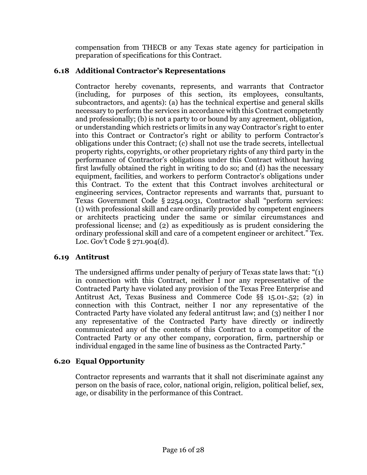compensation from THECB or any Texas state agency for participation in preparation of specifications for this Contract.

## **6.18 Additional Contractor's Representations**

Contractor hereby covenants, represents, and warrants that Contractor (including, for purposes of this section, its employees, consultants, subcontractors, and agents): (a) has the technical expertise and general skills necessary to perform the services in accordance with this Contract competently and professionally; (b) is not a party to or bound by any agreement, obligation, or understanding which restricts or limits in any way Contractor's right to enter into this Contract or Contractor's right or ability to perform Contractor's obligations under this Contract; (c) shall not use the trade secrets, intellectual property rights, copyrights, or other proprietary rights of any third party in the performance of Contractor's obligations under this Contract without having first lawfully obtained the right in writing to do so; and (d) has the necessary equipment, facilities, and workers to perform Contractor's obligations under this Contract. To the extent that this Contract involves architectural or engineering services, Contractor represents and warrants that, pursuant to Texas Government Code § 2254.0031, Contractor shall "perform services: (1) with professional skill and care ordinarily provided by competent engineers or architects practicing under the same or similar circumstances and professional license; and (2) as expeditiously as is prudent considering the ordinary professional skill and care of a competent engineer or architect." Tex. Loc. Gov't Code § 271.904(d).

## **6.19 Antitrust**

The undersigned affirms under penalty of perjury of Texas state laws that: "(1) in connection with this Contract, neither I nor any representative of the Contracted Party have violated any provision of the Texas Free Enterprise and Antitrust Act, Texas Business and Commerce Code §§ 15.01-.52; (2) in connection with this Contract, neither I nor any representative of the Contracted Party have violated any federal antitrust law; and (3) neither I nor any representative of the Contracted Party have directly or indirectly communicated any of the contents of this Contract to a competitor of the Contracted Party or any other company, corporation, firm, partnership or individual engaged in the same line of business as the Contracted Party."

## **6.20 Equal Opportunity**

Contractor represents and warrants that it shall not discriminate against any person on the basis of race, color, national origin, religion, political belief, sex, age, or disability in the performance of this Contract.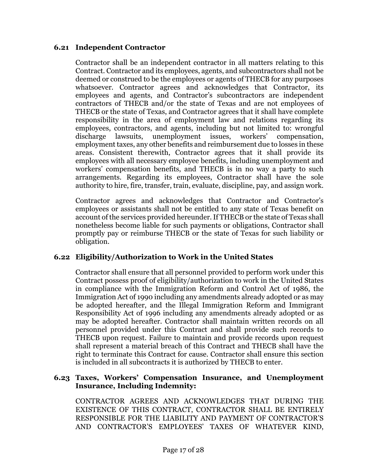### **6.21 Independent Contractor**

Contractor shall be an independent contractor in all matters relating to this Contract. Contractor and its employees, agents, and subcontractors shall not be deemed or construed to be the employees or agents of THECB for any purposes whatsoever. Contractor agrees and acknowledges that Contractor, its employees and agents, and Contractor's subcontractors are independent contractors of THECB and/or the state of Texas and are not employees of THECB or the state of Texas, and Contractor agrees that it shall have complete responsibility in the area of employment law and relations regarding its employees, contractors, and agents, including but not limited to: wrongful discharge lawsuits, unemployment issues, workers' compensation. discharge lawsuits, unemployment issues, workers' compensation, employment taxes, any other benefits and reimbursement due to losses in these areas. Consistent therewith, Contractor agrees that it shall provide its employees with all necessary employee benefits, including unemployment and workers' compensation benefits, and THECB is in no way a party to such arrangements. Regarding its employees, Contractor shall have the sole authority to hire, fire, transfer, train, evaluate, discipline, pay, and assign work.

Contractor agrees and acknowledges that Contractor and Contractor's employees or assistants shall not be entitled to any state of Texas benefit on account of the services provided hereunder. If THECB or the state of Texas shall nonetheless become liable for such payments or obligations, Contractor shall promptly pay or reimburse THECB or the state of Texas for such liability or obligation.

## **6.22 Eligibility/Authorization to Work in the United States**

Contractor shall ensure that all personnel provided to perform work under this Contract possess proof of eligibility/authorization to work in the United States in compliance with the Immigration Reform and Control Act of 1986, the Immigration Act of 1990 including any amendments already adopted or as may be adopted hereafter, and the Illegal Immigration Reform and Immigrant Responsibility Act of 1996 including any amendments already adopted or as may be adopted hereafter. Contractor shall maintain written records on all personnel provided under this Contract and shall provide such records to THECB upon request. Failure to maintain and provide records upon request shall represent a material breach of this Contract and THECB shall have the right to terminate this Contract for cause. Contractor shall ensure this section is included in all subcontracts it is authorized by THECB to enter.

### **6.23 Taxes, Workers' Compensation Insurance, and Unemployment Insurance, Including Indemnity:**

CONTRACTOR AGREES AND ACKNOWLEDGES THAT DURING THE EXISTENCE OF THIS CONTRACT, CONTRACTOR SHALL BE ENTIRELY RESPONSIBLE FOR THE LIABILITY AND PAYMENT OF CONTRACTOR'S AND CONTRACTOR'S EMPLOYEES' TAXES OF WHATEVER KIND,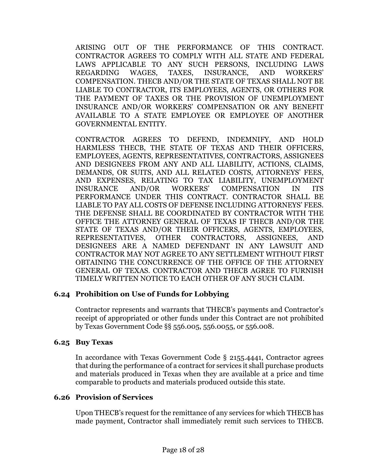ARISING OUT OF THE PERFORMANCE OF THIS CONTRACT. CONTRACTOR AGREES TO COMPLY WITH ALL STATE AND FEDERAL LAWS APPLICABLE TO ANY SUCH PERSONS, INCLUDING LAWS REGARDING WAGES, TAXES, INSURANCE, AND WORKERS' COMPENSATION. THECB AND/OR THE STATE OF TEXAS SHALL NOT BE LIABLE TO CONTRACTOR, ITS EMPLOYEES, AGENTS, OR OTHERS FOR THE PAYMENT OF TAXES OR THE PROVISION OF UNEMPLOYMENT INSURANCE AND/OR WORKERS' COMPENSATION OR ANY BENEFIT AVAILABLE TO A STATE EMPLOYEE OR EMPLOYEE OF ANOTHER GOVERNMENTAL ENTITY.

CONTRACTOR AGREES TO DEFEND, INDEMNIFY, AND HOLD HARMLESS THECB, THE STATE OF TEXAS AND THEIR OFFICERS, EMPLOYEES, AGENTS, REPRESENTATIVES, CONTRACTORS, ASSIGNEES AND DESIGNEES FROM ANY AND ALL LIABILITY, ACTIONS, CLAIMS, DEMANDS, OR SUITS, AND ALL RELATED COSTS, ATTORNEYS' FEES, AND EXPENSES, RELATING TO TAX LIABILITY, UNEMPLOYMENT INSURANCE AND/OR WORKERS' COMPENSATION IN ITS PERFORMANCE UNDER THIS CONTRACT. CONTRACTOR SHALL BE LIABLE TO PAY ALL COSTS OF DEFENSE INCLUDING ATTORNEYS' FEES. THE DEFENSE SHALL BE COORDINATED BY CONTRACTOR WITH THE OFFICE THE ATTORNEY GENERAL OF TEXAS IF THECB AND/OR THE STATE OF TEXAS AND/OR THEIR OFFICERS, AGENTS, EMPLOYEES, REPRESENTATIVES, OTHER CONTRACTORS, ASSIGNEES, AND DESIGNEES ARE A NAMED DEFENDANT IN ANY LAWSUIT AND CONTRACTOR MAY NOT AGREE TO ANY SETTLEMENT WITHOUT FIRST OBTAINING THE CONCURRENCE OF THE OFFICE OF THE ATTORNEY GENERAL OF TEXAS. CONTRACTOR AND THECB AGREE TO FURNISH TIMELY WRITTEN NOTICE TO EACH OTHER OF ANY SUCH CLAIM.

### **6.24 Prohibition on Use of Funds for Lobbying**

Contractor represents and warrants that THECB's payments and Contractor's receipt of appropriated or other funds under this Contract are not prohibited by Texas Government Code §§ 556.005, 556.0055, or 556.008.

#### **6.25 Buy Texas**

In accordance with Texas Government Code § 2155.4441, Contractor agrees that during the performance of a contract for services it shall purchase products and materials produced in Texas when they are available at a price and time comparable to products and materials produced outside this state.

### **6.26 Provision of Services**

Upon THECB's request for the remittance of any services for which THECB has made payment, Contractor shall immediately remit such services to THECB.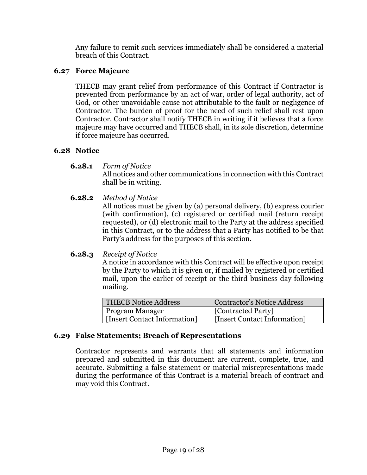Any failure to remit such services immediately shall be considered a material breach of this Contract.

## **6.27 Force Majeure**

THECB may grant relief from performance of this Contract if Contractor is prevented from performance by an act of war, order of legal authority, act of God, or other unavoidable cause not attributable to the fault or negligence of Contractor. The burden of proof for the need of such relief shall rest upon Contractor. Contractor shall notify THECB in writing if it believes that a force majeure may have occurred and THECB shall, in its sole discretion, determine if force majeure has occurred.

## **6.28 Notice**

- **6.28.1** *Form of Notice* All notices and other communications in connection with this Contract shall be in writing.
- **6.28.2** *Method of Notice*

All notices must be given by (a) personal delivery, (b) express courier (with confirmation), (c) registered or certified mail (return receipt requested), or (d) electronic mail to the Party at the address specified in this Contract, or to the address that a Party has notified to be that Party's address for the purposes of this section.

## **6.28.3** *Receipt of Notice*

A notice in accordance with this Contract will be effective upon receipt by the Party to which it is given or, if mailed by registered or certified mail, upon the earlier of receipt or the third business day following mailing.

| <b>THECB Notice Address</b>  | <b>Contractor's Notice Address</b> |
|------------------------------|------------------------------------|
| Program Manager              | [Contracted Party]                 |
| [Insert Contact Information] | [Insert Contact Information]       |

## **6.29 False Statements; Breach of Representations**

Contractor represents and warrants that all statements and information prepared and submitted in this document are current, complete, true, and accurate. Submitting a false statement or material misrepresentations made during the performance of this Contract is a material breach of contract and may void this Contract.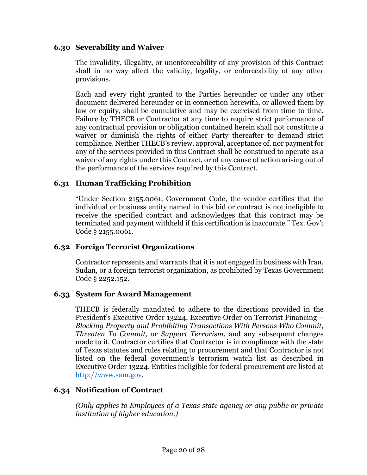### **6.30 Severability and Waiver**

The invalidity, illegality, or unenforceability of any provision of this Contract shall in no way affect the validity, legality, or enforceability of any other provisions.

Each and every right granted to the Parties hereunder or under any other document delivered hereunder or in connection herewith, or allowed them by law or equity, shall be cumulative and may be exercised from time to time. Failure by THECB or Contractor at any time to require strict performance of any contractual provision or obligation contained herein shall not constitute a waiver or diminish the rights of either Party thereafter to demand strict compliance. Neither THECB's review, approval, acceptance of, nor payment for any of the services provided in this Contract shall be construed to operate as a waiver of any rights under this Contract, or of any cause of action arising out of the performance of the services required by this Contract.

## **6.31 Human Trafficking Prohibition**

"Under Section 2155.0061, Government Code, the vendor certifies that the individual or business entity named in this bid or contract is not ineligible to receive the specified contract and acknowledges that this contract may be terminated and payment withheld if this certification is inaccurate." Tex. Gov't Code § 2155.0061.

### **6.32 Foreign Terrorist Organizations**

Contractor represents and warrants that it is not engaged in business with Iran, Sudan, or a foreign terrorist organization, as prohibited by Texas Government Code § 2252.152.

### **6.33 System for Award Management**

THECB is federally mandated to adhere to the directions provided in the President's Executive Order 13224, Executive Order on Terrorist Financing – *Blocking Property and Prohibiting Transactions With Persons Who Commit, Threaten To Commit, or Support Terrorism*, and any subsequent changes made to it. Contractor certifies that Contractor is in compliance with the state of Texas statutes and rules relating to procurement and that Contractor is not listed on the federal government's terrorism watch list as described in Executive Order 13224. Entities ineligible for federal procurement are listed at [http://www.sam.gov.](http://www.sam.gov/)

## **6.34 Notification of Contract**

*(Only applies to Employees of a Texas state agency or any public or private institution of higher education.)*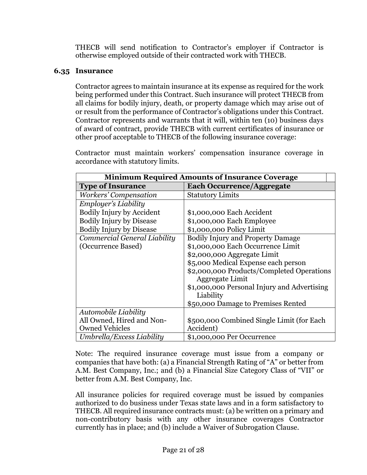THECB will send notification to Contractor's employer if Contractor is otherwise employed outside of their contracted work with THECB.

## **6.35 Insurance**

Contractor agrees to maintain insurance at its expense as required for the work being performed under this Contract. Such insurance will protect THECB from all claims for bodily injury, death, or property damage which may arise out of or result from the performance of Contractor's obligations under this Contract. Contractor represents and warrants that it will, within ten (10) business days of award of contract, provide THECB with current certificates of insurance or other proof acceptable to THECB of the following insurance coverage:

Contractor must maintain workers' compensation insurance coverage in accordance with statutory limits.

| <b>Minimum Required Amounts of Insurance Coverage</b> |                                             |  |
|-------------------------------------------------------|---------------------------------------------|--|
| <b>Type of Insurance</b>                              | <b>Each Occurrence/Aggregate</b>            |  |
| Workers' Compensation                                 | <b>Statutory Limits</b>                     |  |
| Employer's Liability                                  |                                             |  |
| <b>Bodily Injury by Accident</b>                      | \$1,000,000 Each Accident                   |  |
| <b>Bodily Injury by Disease</b>                       | \$1,000,000 Each Employee                   |  |
| <b>Bodily Injury by Disease</b>                       | \$1,000,000 Policy Limit                    |  |
| Commercial General Liability                          | <b>Bodily Injury and Property Damage</b>    |  |
| (Occurrence Based)                                    | \$1,000,000 Each Occurrence Limit           |  |
|                                                       | \$2,000,000 Aggregate Limit                 |  |
|                                                       | \$5,000 Medical Expense each person         |  |
|                                                       | \$2,000,000 Products/Completed Operations   |  |
|                                                       | Aggregate Limit                             |  |
|                                                       | \$1,000,000 Personal Injury and Advertising |  |
|                                                       | Liability                                   |  |
|                                                       | \$50,000 Damage to Premises Rented          |  |
| Automobile Liability                                  |                                             |  |
| All Owned, Hired and Non-                             | \$500,000 Combined Single Limit (for Each   |  |
| <b>Owned Vehicles</b>                                 | Accident)                                   |  |
| Umbrella/Excess Liability                             | \$1,000,000 Per Occurrence                  |  |

Note: The required insurance coverage must issue from a company or companies that have both: (a) a Financial Strength Rating of "A" or better from A.M. Best Company, Inc.; and (b) a Financial Size Category Class of "VII" or better from A.M. Best Company, Inc.

All insurance policies for required coverage must be issued by companies authorized to do business under Texas state laws and in a form satisfactory to THECB. All required insurance contracts must: (a) be written on a primary and non-contributory basis with any other insurance coverages Contractor currently has in place; and (b) include a Waiver of Subrogation Clause.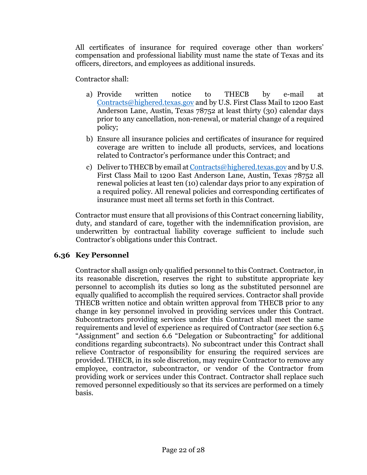All certificates of insurance for required coverage other than workers' compensation and professional liability must name the state of Texas and its officers, directors, and employees as additional insureds.

Contractor shall:

- a) Provide written notice to THECB by e-mail at [Contracts@highered.texas.gov](mailto:Contracts@highered.texas.gov) and by U.S. First Class Mail to 1200 East Anderson Lane, Austin, Texas 78752 at least thirty (30) calendar days prior to any cancellation, non-renewal, or material change of a required policy;
- b) Ensure all insurance policies and certificates of insurance for required coverage are written to include all products, services, and locations related to Contractor's performance under this Contract; and
- c) Deliver to THECB by email at [Contracts@highered.texas.gov](mailto:Contracts@highered.texas.gov) and by U.S. First Class Mail to 1200 East Anderson Lane, Austin, Texas 78752 all renewal policies at least ten (10) calendar days prior to any expiration of a required policy. All renewal policies and corresponding certificates of insurance must meet all terms set forth in this Contract.

Contractor must ensure that all provisions of this Contract concerning liability, duty, and standard of care, together with the indemnification provision, are underwritten by contractual liability coverage sufficient to include such Contractor's obligations under this Contract.

## **6.36 Key Personnel**

Contractor shall assign only qualified personnel to this Contract. Contractor, in its reasonable discretion, reserves the right to substitute appropriate key personnel to accomplish its duties so long as the substituted personnel are equally qualified to accomplish the required services. Contractor shall provide THECB written notice and obtain written approval from THECB prior to any change in key personnel involved in providing services under this Contract. Subcontractors providing services under this Contract shall meet the same requirements and level of experience as required of Contractor (*see* section 6.5 "Assignment" and section 6.6 "Delegation or Subcontracting" for additional conditions regarding subcontracts). No subcontract under this Contract shall relieve Contractor of responsibility for ensuring the required services are provided. THECB, in its sole discretion, may require Contractor to remove any employee, contractor, subcontractor, or vendor of the Contractor from providing work or services under this Contract. Contractor shall replace such removed personnel expeditiously so that its services are performed on a timely basis.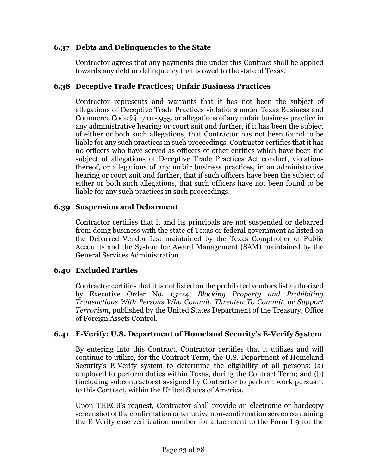### **6.37 Debts and Delinquencies to the State**

Contractor agrees that any payments due under this Contract shall be applied towards any debt or delinquency that is owed to the state of Texas.

### **6.38 Deceptive Trade Practices; Unfair Business Practices**

Contractor represents and warrants that it has not been the subject of allegations of Deceptive Trade Practices violations under Texas Business and Commerce Code §§ 17.01-.955, or allegations of any unfair business practice in any administrative hearing or court suit and further, if it has been the subject of either or both such allegations, that Contractor has not been found to be liable for any such practices in such proceedings. Contractor certifies that it has no officers who have served as officers of other entities which have been the subject of allegations of Deceptive Trade Practices Act conduct, violations thereof, or allegations of any unfair business practices, in an administrative hearing or court suit and further, that if such officers have been the subject of either or both such allegations, that such officers have not been found to be liable for any such practices in such proceedings.

### **6.39 Suspension and Debarment**

Contractor certifies that it and its principals are not suspended or debarred from doing business with the state of Texas or federal government as listed on the Debarred Vendor List maintained by the Texas Comptroller of Public Accounts and the System for Award Management (SAM) maintained by the General Services Administration.

## **6.40 Excluded Parties**

Contractor certifies that it is not listed on the prohibited vendors list authorized by Executive Order No. 13224, *Blocking Property and Prohibiting Transactions With Persons Who Commit, Threaten To Commit, or Support Terrorism*, published by the United States Department of the Treasury, Office of Foreign Assets Control.

## **6.41 E-Verify: U.S. Department of Homeland Security's E-Verify System**

By entering into this Contract, Contractor certifies that it utilizes and will continue to utilize, for the Contract Term, the U.S. Department of Homeland Security's E-Verify system to determine the eligibility of all persons: (a) employed to perform duties within Texas, during the Contract Term; and (b) (including subcontractors) assigned by Contractor to perform work pursuant to this Contract, within the United States of America.

Upon THECB's request, Contractor shall provide an electronic or hardcopy screenshot of the confirmation or tentative non-confirmation screen containing the E-Verify case verification number for attachment to the Form I-9 for the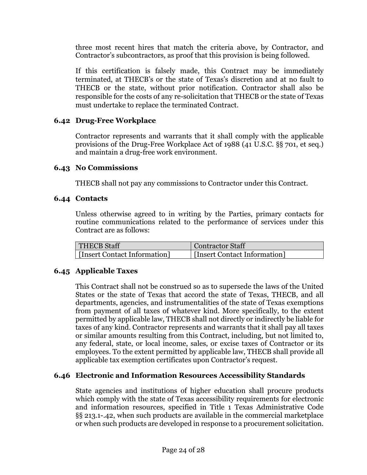three most recent hires that match the criteria above, by Contractor, and Contractor's subcontractors, as proof that this provision is being followed.

If this certification is falsely made, this Contract may be immediately terminated, at THECB's or the state of Texas's discretion and at no fault to THECB or the state, without prior notification. Contractor shall also be responsible for the costs of any re-solicitation that THECB or the state of Texas must undertake to replace the terminated Contract.

## **6.42 Drug-Free Workplace**

Contractor represents and warrants that it shall comply with the applicable provisions of the Drug-Free Workplace Act of 1988 (41 U.S.C. §§ 701, et seq.) and maintain a drug-free work environment.

## **6.43 No Commissions**

THECB shall not pay any commissions to Contractor under this Contract.

## **6.44 Contacts**

Unless otherwise agreed to in writing by the Parties, primary contacts for routine communications related to the performance of services under this Contract are as follows:

| <b>THECB Staff</b>           | <b>Contractor Staff</b>      |
|------------------------------|------------------------------|
| [Insert Contact Information] | [Insert Contact Information] |

## **6.45 Applicable Taxes**

This Contract shall not be construed so as to supersede the laws of the United States or the state of Texas that accord the state of Texas, THECB, and all departments, agencies, and instrumentalities of the state of Texas exemptions from payment of all taxes of whatever kind. More specifically, to the extent permitted by applicable law, THECB shall not directly or indirectly be liable for taxes of any kind. Contractor represents and warrants that it shall pay all taxes or similar amounts resulting from this Contract, including, but not limited to, any federal, state, or local income, sales, or excise taxes of Contractor or its employees. To the extent permitted by applicable law, THECB shall provide all applicable tax exemption certificates upon Contractor's request.

## **6.46 Electronic and Information Resources Accessibility Standards**

State agencies and institutions of higher education shall procure products which comply with the state of Texas accessibility requirements for electronic and information resources, specified in Title 1 Texas Administrative Code §§ 213.1-.42, when such products are available in the commercial marketplace or when such products are developed in response to a procurement solicitation.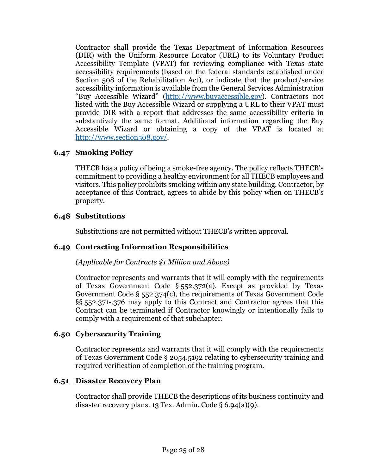Contractor shall provide the Texas Department of Information Resources (DIR) with the Uniform Resource Locator (URL) to its Voluntary Product Accessibility Template (VPAT) for reviewing compliance with Texas state accessibility requirements (based on the federal standards established under Section 508 of the Rehabilitation Act), or indicate that the product/service accessibility information is available from the General Services Administration "Buy Accessible Wizard" [\(http://www.buyaccessible.gov\)](http://www.buyaccessible.gov/). Contractors not listed with the Buy Accessible Wizard or supplying a URL to their VPAT must provide DIR with a report that addresses the same accessibility criteria in substantively the same format. Additional information regarding the Buy Accessible Wizard or obtaining a copy of the VPAT is located at [http://www.section508.gov/.](http://www.section508.gov/)

## **6.47 Smoking Policy**

THECB has a policy of being a smoke-free agency. The policy reflects THECB's commitment to providing a healthy environment for all THECB employees and visitors. This policy prohibits smoking within any state building. Contractor, by acceptance of this Contract, agrees to abide by this policy when on THECB's property.

## **6.48 Substitutions**

Substitutions are not permitted without THECB's written approval.

## **6.49 Contracting Information Responsibilities**

### *(Applicable for Contracts \$1 Million and Above)*

Contractor represents and warrants that it will comply with the requirements of Texas Government Code § 552.372(a). Except as provided by Texas Government Code § 552.374(c), the requirements of Texas Government Code §§ 552.371-.376 may apply to this Contract and Contractor agrees that this Contract can be terminated if Contractor knowingly or intentionally fails to comply with a requirement of that subchapter.

## **6.50 Cybersecurity Training**

Contractor represents and warrants that it will comply with the requirements of Texas Government Code § 2054.5192 relating to cybersecurity training and required verification of completion of the training program.

### **6.51 Disaster Recovery Plan**

Contractor shall provide THECB the descriptions of its business continuity and disaster recovery plans. 13 Tex. Admin. Code § 6.94(a)(9).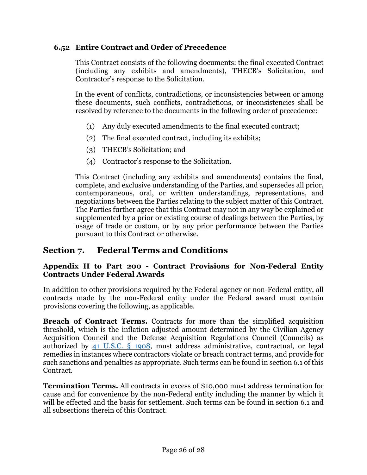## **6.52 Entire Contract and Order of Precedence**

This Contract consists of the following documents: the final executed Contract (including any exhibits and amendments), THECB's Solicitation, and Contractor's response to the Solicitation.

In the event of conflicts, contradictions, or inconsistencies between or among these documents, such conflicts, contradictions, or inconsistencies shall be resolved by reference to the documents in the following order of precedence:

- (1) Any duly executed amendments to the final executed contract;
- (2) The final executed contract, including its exhibits;
- (3) THECB's Solicitation; and
- (4) Contractor's response to the Solicitation.

This Contract (including any exhibits and amendments) contains the final, complete, and exclusive understanding of the Parties, and supersedes all prior, contemporaneous, oral, or written understandings, representations, and negotiations between the Parties relating to the subject matter of this Contract. The Parties further agree that this Contract may not in any way be explained or supplemented by a prior or existing course of dealings between the Parties, by usage of trade or custom, or by any prior performance between the Parties pursuant to this Contract or otherwise.

# **Section 7. Federal Terms and Conditions**

### **Appendix II to Part 200 - Contract Provisions for Non-Federal Entity Contracts Under Federal Awards**

In addition to other provisions required by the Federal agency or non-Federal entity, all contracts made by the non-Federal entity under the Federal award must contain provisions covering the following, as applicable.

**Breach of Contract Terms.** Contracts for more than the simplified acquisition threshold, which is the inflation adjusted amount determined by the Civilian Agency Acquisition Council and the Defense Acquisition Regulations Council (Councils) as authorized by [41 U.S.C. § 1908,](https://www.govinfo.gov/content/pkg/USCODE-2019-title41/pdf/USCODE-2019-title41-subtitleI-divsnB-chap19-sec1908.pdf) must address administrative, contractual, or legal remedies in instances where contractors violate or breach contract terms, and provide for such sanctions and penalties as appropriate. Such terms can be found in section 6.1 of this Contract.

**Termination Terms.** All contracts in excess of \$10,000 must address termination for cause and for convenience by the non-Federal entity including the manner by which it will be effected and the basis for settlement. Such terms can be found in section 6.1 and all subsections therein of this Contract.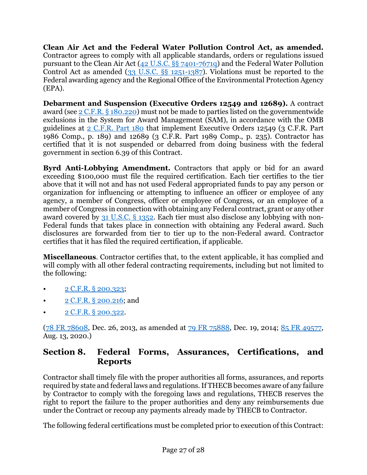**Clean Air Act and the Federal Water Pollution Control Act, as amended.** Contractor agrees to comply with all applicable standards, orders or regulations issued pursuant to the Clean Air Act [\(42 U.S.C. §§ 7401-7671q\)](https://www.govinfo.gov/content/pkg/USCODE-2019-title42/pdf/USCODE-2019-title42-chap85-subchapI-partA-sec7401.pdf) and the Federal Water Pollution Control Act as amended [\(33 U.S.C. §§ 1251-1387\)](https://www.govinfo.gov/content/pkg/USCODE-2019-title33/pdf/USCODE-2019-title33-chap26-subchapI-sec1251.pdf). Violations must be reported to the Federal awarding agency and the Regional Office of the Environmental Protection Agency (EPA).

**Debarment and Suspension (Executive Orders 12549 and 12689).** A contract award (see [2 C.F.R. § 180.220\)](https://www.ecfr.gov/current/title-2/subtitle-A/chapter-I/part-180/subpart-B/section-180.220) must not be made to parties listed on the governmentwide exclusions in the System for Award Management (SAM), in accordance with the OMB guidelines at [2 C.F.R. Part 180](https://www.ecfr.gov/current/title-2/subtitle-A/chapter-I/part-180) that implement Executive Orders 12549 (3 C.F.R. Part 1986 Comp., p. 189) and 12689 (3 C.F.R. Part 1989 Comp., p. 235). Contractor has certified that it is not suspended or debarred from doing business with the federal government in section 6.39 of this Contract.

**Byrd Anti-Lobbying Amendment.** Contractors that apply or bid for an award exceeding \$100,000 must file the required certification. Each tier certifies to the tier above that it will not and has not used Federal appropriated funds to pay any person or organization for influencing or attempting to influence an officer or employee of any agency, a member of Congress, officer or employee of Congress, or an employee of a member of Congress in connection with obtaining any Federal contract, grant or any other award covered by [31 U.S.C. § 1352.](https://www.govinfo.gov/content/pkg/USCODE-2019-title31/pdf/USCODE-2019-title31-subtitleII-chap13-subchapIII-sec1352.pdf) Each tier must also disclose any lobbying with non-Federal funds that takes place in connection with obtaining any Federal award. Such disclosures are forwarded from tier to tier up to the non-Federal award. Contractor certifies that it has filed the required certification, if applicable.

**Miscellaneous**. Contractor certifies that, to the extent applicable, it has complied and will comply with all other federal contracting requirements, including but not limited to the following:

- [2 C.F.R. § 200.323;](https://www.ecfr.gov/current/title-2/subtitle-A/chapter-II/part-200/subpart-D/subject-group-ECFR45ddd4419ad436d/section-200.323)
- [2 C.F.R. § 200.216;](https://www.ecfr.gov/current/title-2/subtitle-A/chapter-II/part-200/subpart-C/section-200.216) and
- [2 C.F.R. § 200.322.](https://www.ecfr.gov/current/title-2/subtitle-A/chapter-II/part-200/subpart-D/subject-group-ECFR45ddd4419ad436d/section-200.322)

[\(78 FR 78608,](https://www.federalregister.gov/documents/2013/12/26/2013-30465/uniform-administrative-requirements-cost-principles-and-audit-requirements-for-federal-awards) Dec. 26, 2013, as amended at [79 FR 75888,](https://www.federalregister.gov/documents/2014/12/19/2014-28697/federal-awarding-agency-regulatory-implementation-of-office-of-management-and-budgets-uniform) Dec. 19, 2014; [85 FR 49577,](https://www.federalregister.gov/documents/2020/08/13/2020-17468/guidance-for-grants-and-agreements) Aug. 13, 2020.)

# **Section 8. Federal Forms, Assurances, Certifications, and Reports**

Contractor shall timely file with the proper authorities all forms, assurances, and reports required by state and federal laws and regulations. If THECB becomes aware of any failure by Contractor to comply with the foregoing laws and regulations, THECB reserves the right to report the failure to the proper authorities and deny any reimbursements due under the Contract or recoup any payments already made by THECB to Contractor.

The following federal certifications must be completed prior to execution of this Contract: